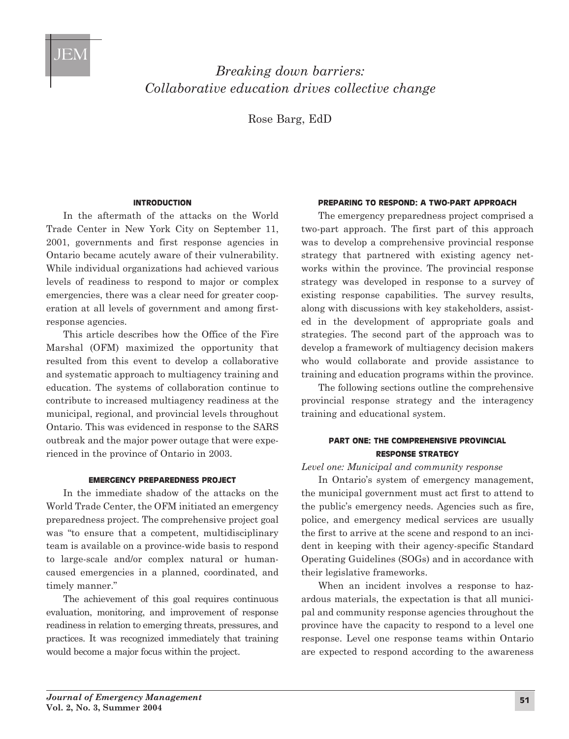

# *Breaking down barriers: Collaborative education drives collective change*

Rose Barg, EdD

#### **IntroductIon**

In the aftermath of the attacks on the World Trade Center in New York City on September 11, 2001, governments and first response agencies in Ontario became acutely aware of their vulnerability. While individual organizations had achieved various levels of readiness to respond to major or complex emergencies, there was a clear need for greater cooperation at all levels of government and among firstresponse agencies.

This article describes how the Office of the Fire Marshal (OFM) maximized the opportunity that resulted from this event to develop a collaborative and systematic approach to multiagency training and education. The systems of collaboration continue to contribute to increased multiagency readiness at the municipal, regional, and provincial levels throughout Ontario. This was evidenced in response to the SARS outbreak and the major power outage that were experienced in the province of Ontario in 2003.

## **EmErgEncy prEparEdnEss projEct**

In the immediate shadow of the attacks on the World Trade Center, the OFM initiated an emergency preparedness project. The comprehensive project goal was "to ensure that a competent, multidisciplinary team is available on a province-wide basis to respond to large-scale and/or complex natural or humancaused emergencies in a planned, coordinated, and timely manner."

The achievement of this goal requires continuous evaluation, monitoring, and improvement of response readiness in relation to emerging threats, pressures, and practices. It was recognized immediately that training would become a major focus within the project.

#### **prEparIng to rEspond: a two-part approach**

The emergency preparedness project comprised a two-part approach. The first part of this approach was to develop a comprehensive provincial response strategy that partnered with existing agency networks within the province. The provincial response strategy was developed in response to a survey of existing response capabilities. The survey results, along with discussions with key stakeholders, assisted in the development of appropriate goals and strategies. The second part of the approach was to develop a framework of multiagency decision makers who would collaborate and provide assistance to training and education programs within the province.

The following sections outline the comprehensive provincial response strategy and the interagency training and educational system.

# **PART ONE: THE COMPREHENSIVE PROVINCIAL rEsponsE stratEgy**

# *Level one: Municipal and community response*

In Ontario's system of emergency management, the municipal government must act first to attend to the public's emergency needs. Agencies such as fire, police, and emergency medical services are usually the first to arrive at the scene and respond to an incident in keeping with their agency-specific Standard Operating Guidelines (SOGs) and in accordance with their legislative frameworks.

When an incident involves a response to hazardous materials, the expectation is that all municipal and community response agencies throughout the province have the capacity to respond to a level one response. Level one response teams within Ontario are expected to respond according to the awareness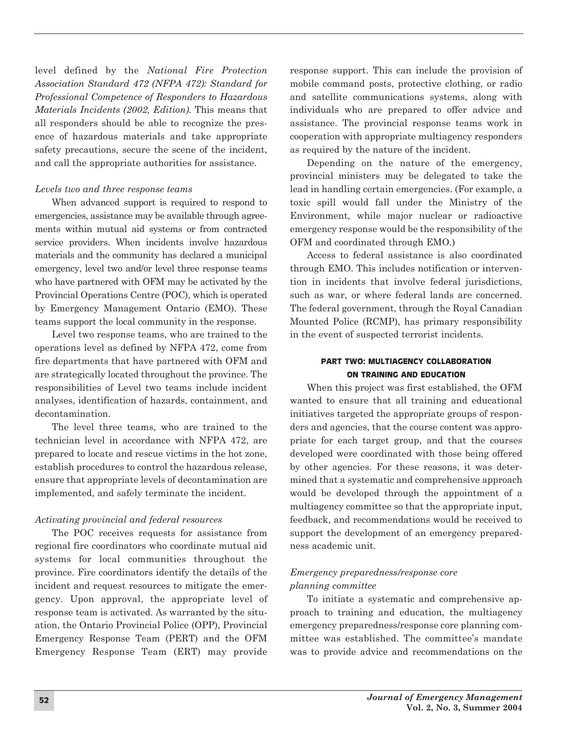level defined by the *National Fire Protection Association Standard 472 (NFPA 472): Standard for Professional Competence of Responders to Hazardous Materials Incidents (2002, Edition).* This means that all responders should be able to recognize the presence of hazardous materials and take appropriate safety precautions, secure the scene of the incident, and call the appropriate authorities for assistance.

## *Levels two and three response teams*

When advanced support is required to respond to emergencies, assistance may be available through agreements within mutual aid systems or from contracted service providers. When incidents involve hazardous materials and the community has declared a municipal emergency, level two and/or level three response teams who have partnered with OFM may be activated by the Provincial Operations Centre (POC), which is operated by Emergency Management Ontario (EMO). These teams support the local community in the response.

Level two response teams, who are trained to the operations level as defined by NFPA 472, come from fire departments that have partnered with OFM and are strategically located throughout the province. The responsibilities of Level two teams include incident analyses, identification of hazards, containment, and decontamination.

The level three teams, who are trained to the technician level in accordance with NFPA 472, are prepared to locate and rescue victims in the hot zone, establish procedures to control the hazardous release, ensure that appropriate levels of decontamination are implemented, and safely terminate the incident.

# *Activating provincial and federal resources*

The POC receives requests for assistance from regional fire coordinators who coordinate mutual aid systems for local communities throughout the province. Fire coordinators identify the details of the incident and request resources to mitigate the emergency. Upon approval, the appropriate level of response team is activated. As warranted by the situation, the Ontario Provincial Police (OPP), Provincial Emergency Response Team (PERT) and the OFM Emergency Response Team (ERT) may provide

response support. This can include the provision of mobile command posts, protective clothing, or radio and satellite communications systems, along with individuals who are prepared to offer advice and assistance. The provincial response teams work in cooperation with appropriate multiagency responders as required by the nature of the incident.

Depending on the nature of the emergency, provincial ministers may be delegated to take the lead in handling certain emergencies. (For example, a toxic spill would fall under the Ministry of the Environment, while major nuclear or radioactive emergency response would be the responsibility of the OFM and coordinated through EMO.)

Access to federal assistance is also coordinated through EMO. This includes notification or intervention in incidents that involve federal jurisdictions, such as war, or where federal lands are concerned. The federal government, through the Royal Canadian Mounted Police (RCMP), has primary responsibility in the event of suspected terrorist incidents.

# **PART TWO: MULTIAGENCY COLLABORATION on traInIng and EducatIon**

When this project was first established, the OFM wanted to ensure that all training and educational initiatives targeted the appropriate groups of responders and agencies, that the course content was appropriate for each target group, and that the courses developed were coordinated with those being offered by other agencies. For these reasons, it was determined that a systematic and comprehensive approach would be developed through the appointment of a multiagency committee so that the appropriate input, feedback, and recommendations would be received to support the development of an emergency preparedness academic unit.

# *Emergency preparedness/response core planning committee*

To initiate a systematic and comprehensive approach to training and education, the multiagency emergency preparedness/response core planning committee was established. The committee's mandate was to provide advice and recommendations on the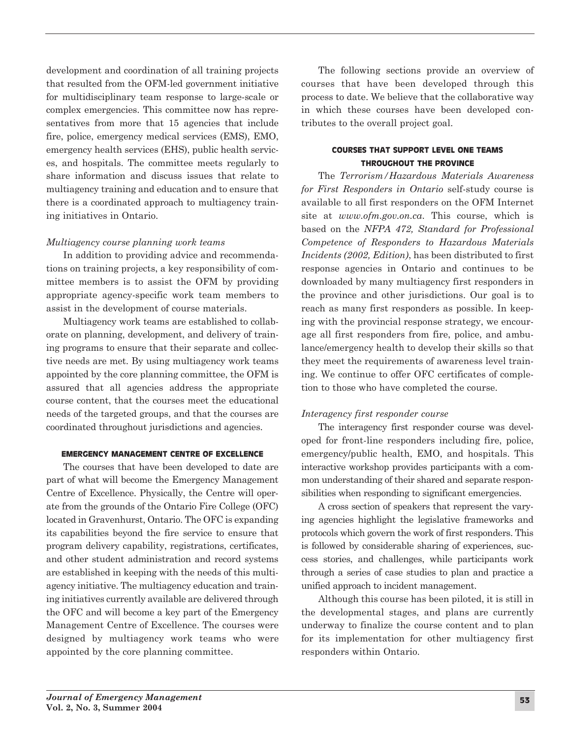development and coordination of all training projects that resulted from the OFM-led government initiative for multidisciplinary team response to large-scale or complex emergencies. This committee now has representatives from more that 15 agencies that include fire, police, emergency medical services (EMS), EMO, emergency health services (EHS), public health services, and hospitals. The committee meets regularly to share information and discuss issues that relate to multiagency training and education and to ensure that there is a coordinated approach to multiagency training initiatives in Ontario.

# *Multiagency course planning work teams*

In addition to providing advice and recommendations on training projects, a key responsibility of committee members is to assist the OFM by providing appropriate agency-specific work team members to assist in the development of course materials.

Multiagency work teams are established to collaborate on planning, development, and delivery of training programs to ensure that their separate and collective needs are met. By using multiagency work teams appointed by the core planning committee, the OFM is assured that all agencies address the appropriate course content, that the courses meet the educational needs of the targeted groups, and that the courses are coordinated throughout jurisdictions and agencies.

## **EmErgEncy managEmEnt cEntrE of ExcEllEncE**

The courses that have been developed to date are part of what will become the Emergency Management Centre of Excellence. Physically, the Centre will operate from the grounds of the Ontario Fire College (OFC) located in Gravenhurst, Ontario. The OFC is expanding its capabilities beyond the fire service to ensure that program delivery capability, registrations, certificates, and other student administration and record systems are established in keeping with the needs of this multiagency initiative. The multiagency education and training initiatives currently available are delivered through the OFC and will become a key part of the Emergency Management Centre of Excellence. The courses were designed by multiagency work teams who were appointed by the core planning committee.

The following sections provide an overview of courses that have been developed through this process to date. We believe that the collaborative way in which these courses have been developed contributes to the overall project goal.

## **coursEs that support lEvEl onE tEams throughout thE provIncE**

The *Terrorism/Hazardous Materials Awareness for First Responders in Ontario* self-study course is available to all first responders on the OFM Internet site at *www.ofm.gov.on.ca*. This course, which is based on the *NFPA 472, Standard for Professional Competence of Responders to Hazardous Materials Incidents (2002, Edition)*, has been distributed to first response agencies in Ontario and continues to be downloaded by many multiagency first responders in the province and other jurisdictions. Our goal is to reach as many first responders as possible. In keeping with the provincial response strategy, we encourage all first responders from fire, police, and ambulance/emergency health to develop their skills so that they meet the requirements of awareness level training. We continue to offer OFC certificates of completion to those who have completed the course.

# *Interagency first responder course*

The interagency first responder course was developed for front-line responders including fire, police, emergency/public health, EMO, and hospitals. This interactive workshop provides participants with a common understanding of their shared and separate responsibilities when responding to significant emergencies.

A cross section of speakers that represent the varying agencies highlight the legislative frameworks and protocols which govern the work of first responders. This is followed by considerable sharing of experiences, success stories, and challenges, while participants work through a series of case studies to plan and practice a unified approach to incident management.

Although this course has been piloted, it is still in the developmental stages, and plans are currently underway to finalize the course content and to plan for its implementation for other multiagency first responders within Ontario.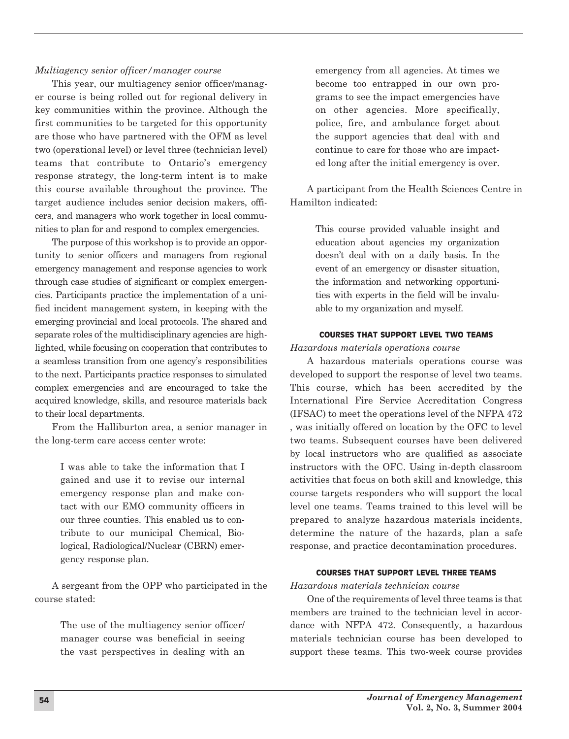## *Multiagency senior officer/manager course*

This year, our multiagency senior officer/manager course is being rolled out for regional delivery in key communities within the province. Although the first communities to be targeted for this opportunity are those who have partnered with the OFM as level two (operational level) or level three (technician level) teams that contribute to Ontario's emergency response strategy, the long-term intent is to make this course available throughout the province. The target audience includes senior decision makers, officers, and managers who work together in local communities to plan for and respond to complex emergencies.

The purpose of this workshop is to provide an opportunity to senior officers and managers from regional emergency management and response agencies to work through case studies of significant or complex emergencies. Participants practice the implementation of a unified incident management system, in keeping with the emerging provincial and local protocols. The shared and separate roles of the multidisciplinary agencies are highlighted, while focusing on cooperation that contributes to a seamless transition from one agency's responsibilities to the next. Participants practice responses to simulated complex emergencies and are encouraged to take the acquired knowledge, skills, and resource materials back to their local departments.

From the Halliburton area, a senior manager in the long-term care access center wrote:

> I was able to take the information that I gained and use it to revise our internal emergency response plan and make contact with our EMO community officers in our three counties. This enabled us to contribute to our municipal Chemical, Biological, Radiological/Nuclear (CBRN) emer gency response plan.

A sergeant from the OPP who participated in the course stated:

> The use of the multiagency senior officer/ manager course was beneficial in seeing the vast perspectives in dealing with an

emergency from all agencies. At times we become too entrapped in our own programs to see the impact emergencies have on other agencies. More specifically, police, fire, and ambulance forget about the support agencies that deal with and continue to care for those who are impacted long after the initial emergency is over.

A participant from the Health Sciences Centre in Hamilton indicated:

> This course provided valuable insight and education about agencies my organization doesn't deal with on a daily basis. In the event of an emergency or disaster situation, the information and networking opportunities with experts in the field will be invaluable to my organization and myself.

### **coursEs that support lEvEl two tEams**

## *Hazardous materials operations course*

A hazardous materials operations course was developed to support the response of level two teams. This course, which has been accredited by the International Fire Service Accreditation Congress (IFSAC) to meet the operations level of the NFPA 472 , was initially offered on location by the OFC to level two teams. Subsequent courses have been delivered by local instructors who are qualified as associate instructors with the OFC. Using in-depth classroom activities that focus on both skill and knowledge, this course targets responders who will support the local level one teams. Teams trained to this level will be prepared to analyze hazardous materials incidents, determine the nature of the hazards, plan a safe response, and practice decontamination procedures.

#### **coursEs that support lEvEl thrEE tEams**

#### *Hazardous materials technician course*

One of the requirements of level three teams is that members are trained to the technician level in accordance with NFPA 472. Consequently, a hazardous materials technician course has been developed to support these teams. This two-week course provides